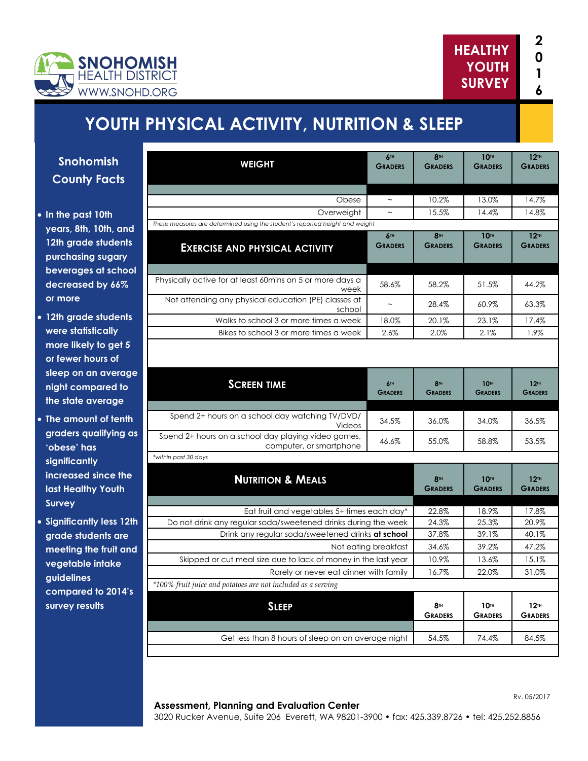

# **YOUTH PHYSICAL ACTIVITY, NUTRITION & SLEEP**

**Snohomish County Facts**

- **In the past 10th years, 8th, 10th, and 12th grade students purchasing sugary beverages at school decreased by 66% or more**
- **12th grade students were statistically more likely to get 5 or fewer hours of sleep on an average night compared to the state average**
- **The amount of tenth graders qualifying as 'obese' has significantly increased since the last Healthy Youth Survey**
- **Significantly less 12th grade students are meeting the fruit and vegetable intake guidelines compared to 2014's survey results**

| <b>WEIGHT</b>                                                                                                 | <b>6TH</b>                | <b>8TH</b>                        | 10 <sup>TH</sup>                   | 12 <sup>TH</sup>                   |
|---------------------------------------------------------------------------------------------------------------|---------------------------|-----------------------------------|------------------------------------|------------------------------------|
|                                                                                                               | <b>GRADERS</b>            | <b>GRADERS</b>                    | <b>GRADERS</b>                     | <b>GRADERS</b>                     |
|                                                                                                               |                           |                                   |                                    |                                    |
| Obese                                                                                                         | $\thicksim$               | 10.2%                             | 13.0%                              | 14.7%                              |
| Overweight                                                                                                    | $\widetilde{\phantom{m}}$ | 15.5%                             | 14.4%                              | 14.8%                              |
| These measures are determined using the student's reported height and weight                                  |                           |                                   |                                    |                                    |
| <b>EXERCISE AND PHYSICAL ACTIVITY</b>                                                                         | 6TH<br><b>GRADERS</b>     | <b>8TH</b><br><b>GRADERS</b>      | <b>10TH</b><br><b>GRADERS</b>      | 12 <sup>TH</sup><br><b>GRADERS</b> |
| Physically active for at least 60mins on 5 or more days a<br>week                                             | 58.6%                     | 58.2%                             | 51.5%                              | 44.2%                              |
| Not attending any physical education (PE) classes at<br>school                                                |                           | 28.4%                             | $60.9\%$                           | 63.3%                              |
| Walks to school 3 or more times a week                                                                        | 18.0%                     | 20.1%                             | 23.1%                              | 17.4%                              |
| Bikes to school 3 or more times a week                                                                        | 2.6%                      | 2.0%                              | 2.1%                               | 1.9%                               |
|                                                                                                               |                           |                                   |                                    |                                    |
| <b>SCREEN TIME</b>                                                                                            | 6TH<br><b>GRADERS</b>     | 8 <sup>TH</sup><br><b>GRADERS</b> | <b>10TH</b><br><b>GRADERS</b>      | 12 <sup>TH</sup><br><b>GRADERS</b> |
| Spend 2+ hours on a school day watching TV/DVD/<br>Videos                                                     | 34.5%                     | 36.0%                             | 34.0%                              | 36.5%                              |
| Spend 2+ hours on a school day playing video games,<br>computer, or smartphone                                | 46.6%                     | 55.0%                             | 58.8%                              | 53.5%                              |
| *within past 30 days                                                                                          |                           |                                   |                                    |                                    |
| <b>NUTRITION &amp; MEALS</b>                                                                                  |                           | <b>8TH</b><br><b>GRADERS</b>      | <b>10TH</b><br><b>GRADERS</b>      | 12 <sup>TH</sup><br><b>GRADERS</b> |
|                                                                                                               |                           | 22.8%                             | 18.9%                              |                                    |
| Eat fruit and vegetables 5+ times each day*<br>Do not drink any regular soda/sweetened drinks during the week |                           | 24.3%                             | 25.3%                              | 17.8%<br>20.9%                     |
| Drink any regular soda/sweetened drinks at school                                                             |                           | 37.8%                             | 39.1%                              | 40.1%                              |
| Not eating breakfast                                                                                          |                           | 34.6%                             | 39.2%                              | 47.2%                              |
| Skipped or cut meal size due to lack of money in the last year                                                |                           | 10.9%                             | 13.6%                              | 15.1%                              |
| Rarely or never eat dinner with family                                                                        |                           | 16.7%                             | 22.0%                              | 31.0%                              |
| *100% fruit juice and potatoes are not included as a serving                                                  |                           |                                   |                                    |                                    |
| <b>SLEEP</b>                                                                                                  |                           | <b>8TH</b><br><b>GRADERS</b>      | 10 <sup>TH</sup><br><b>GRADERS</b> | 12 <sup>TH</sup><br><b>GRADERS</b> |
|                                                                                                               |                           |                                   |                                    |                                    |
| Get less than 8 hours of sleep on an average night                                                            | 54.5%                     | 74.4%                             | 84.5%                              |                                    |

#### **Assessment, Planning and Evaluation Center**

3020 Rucker Avenue, Suite 206 Everett, WA 98201-3900 • fax: 425.339.8726 • tel: 425.252.8856